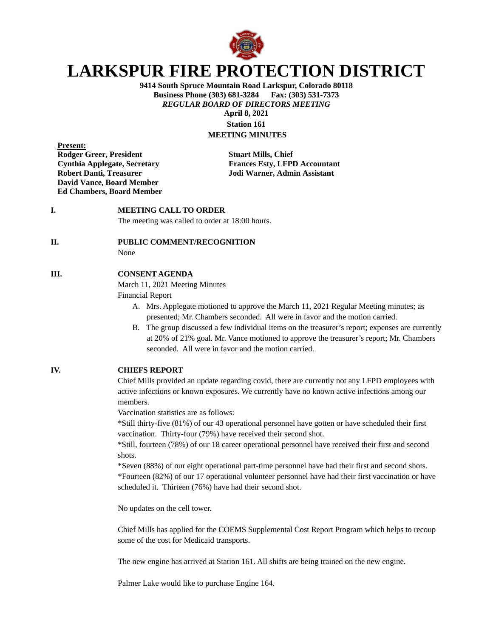

# **LARKSPUR FIRE PROTECTION DISTRICT**

**9414 South Spruce Mountain Road Larkspur, Colorado 80118 Business Phone (303) 681-3284 Fax: (303) 531-7373** *REGULAR BOARD OF DIRECTORS MEETING* **April 8, 2021**

**Station 161 MEETING MINUTES**

**Present: Rodger Greer, President Stuart Mills, Chief David Vance, Board Member Ed Chambers, Board Member**

**Cynthia Applegate, Secretary Frances Esty, LFPD Accountant Robert Danti, Treasurer Jodi Warner, Admin Assistant**

## **I. MEETING CALL TO ORDER**

The meeting was called to order at 18:00 hours.

#### **II. PUBLIC COMMENT/RECOGNITION**

None

#### **III. CONSENT AGENDA**

March 11, 2021 Meeting Minutes

Financial Report

- A. Mrs. Applegate motioned to approve the March 11, 2021 Regular Meeting minutes; as presented; Mr. Chambers seconded. All were in favor and the motion carried.
- B. The group discussed a few individual items on the treasurer's report; expenses are currently at 20% of 21% goal. Mr. Vance motioned to approve the treasurer's report; Mr. Chambers seconded. All were in favor and the motion carried.

## **IV. CHIEFS REPORT**

Chief Mills provided an update regarding covid, there are currently not any LFPD employees with active infections or known exposures. We currently have no known active infections among our members.

Vaccination statistics are as follows:

\*Still thirty-five (81%) of our 43 operational personnel have gotten or have scheduled their first vaccination. Thirty-four (79%) have received their second shot.

\*Still, fourteen (78%) of our 18 career operational personnel have received their first and second shots.

\*Seven (88%) of our eight operational part-time personnel have had their first and second shots. \*Fourteen (82%) of our 17 operational volunteer personnel have had their first vaccination or have scheduled it. Thirteen (76%) have had their second shot.

No updates on the cell tower.

Chief Mills has applied for the COEMS Supplemental Cost Report Program which helps to recoup some of the cost for Medicaid transports.

The new engine has arrived at Station 161. All shifts are being trained on the new engine.

Palmer Lake would like to purchase Engine 164.